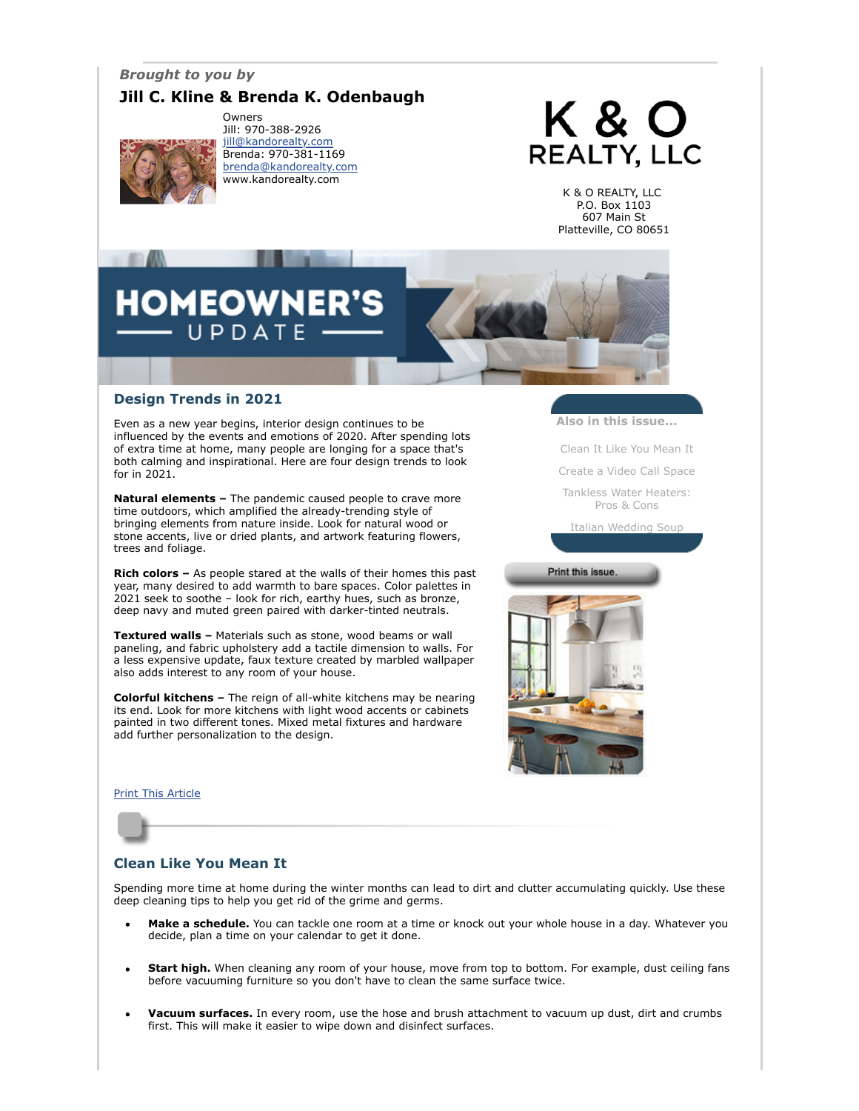## *Brought to you by*

## **Jill C. Kline & Brenda K. Odenbaugh**



Owners Jill: 970-388-2926 [jill@kandorealty.com](mailto:jill@kandorealty.com) Brenda: 970-381-1169 [brenda@kandorealty.com](mailto:brenda@kandorealty.com) www.kandorealty.com

# K & O **REALTY, LLC**

K & O REALTY, LLC P.O. Box 1103 607 Main St Platteville, CO 80651

## **DMEOWN** UPDATE

## **Design Trends in 2021**

Even as a new year begins, interior design continues to be influenced by the events and emotions of 2020. After spending lots of extra time at home, many people are longing for a space that's both calming and inspirational. Here are four design trends to look for in 2021.

**Natural elements –** The pandemic caused people to crave more time outdoors, which amplified the already-trending style of bringing elements from nature inside. Look for natural wood or stone accents, live or dried plants, and artwork featuring flowers, trees and foliage.

**Rich colors –** As people stared at the walls of their homes this past year, many desired to add warmth to bare spaces. Color palettes in 2021 seek to soothe – look for rich, earthy hues, such as bronze, deep navy and muted green paired with darker-tinted neutrals.

**Textured walls –** Materials such as stone, wood beams or wall paneling, and fabric upholstery add a tactile dimension to walls. For a less expensive update, faux texture created by marbled wallpaper also adds interest to any room of your house.

**Colorful kitchens –** The reign of all-white kitchens may be nearing its end. Look for more kitchens with light wood accents or cabinets painted in two different tones. Mixed metal fixtures and hardware add further personalization to the design.

#### [Print This Article](javascript:print();)

## <span id="page-0-0"></span>**Clean Like You Mean It**

Spending more time at home during the winter months can lead to dirt and clutter accumulating quickly. Use these deep cleaning tips to help you get rid of the grime and germs.

- **Make a schedule.** You can tackle one room at a time or knock out your whole house in a day. Whatever you decide, plan a time on your calendar to get it done.
- **Start high.** When cleaning any room of your house, move from top to bottom. For example, dust ceiling fans before vacuuming furniture so you don't have to clean the same surface twice.
- **Vacuum surfaces.** In every room, use the hose and brush attachment to vacuum up dust, dirt and crumbs first. This will make it easier to wipe down and disinfect surfaces.

**Also in this issue...**

[Clean It Like You Mean It](#page-0-0)

[Create a Video Call Space](#page-1-0)

[Tankless Water Heaters:](#page-1-1) Pros & Cons

[Italian Wedding Soup](#page-1-2)

Print this issue.

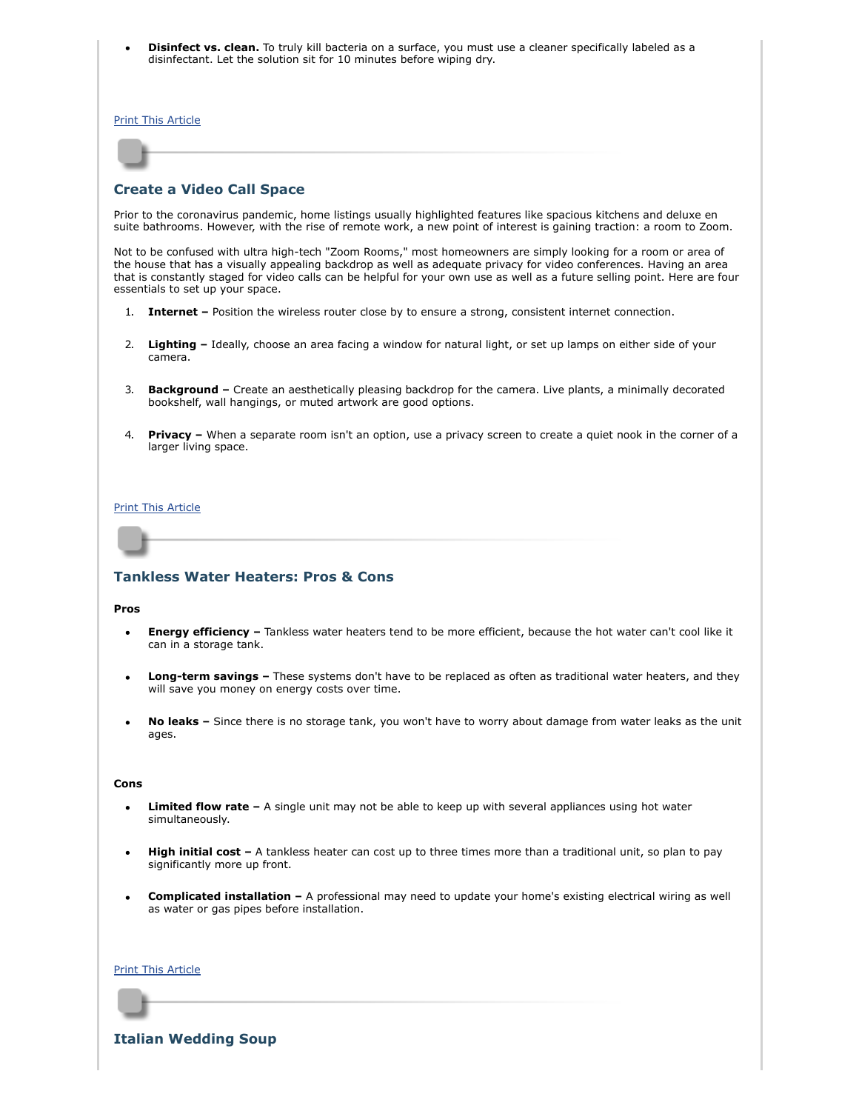**Disinfect vs. clean.** To truly kill bacteria on a surface, you must use a cleaner specifically labeled as a disinfectant. Let the solution sit for 10 minutes before wiping dry.

[Print This Article](javascript:print();)

## <span id="page-1-0"></span>**Create a Video Call Space**

Prior to the coronavirus pandemic, home listings usually highlighted features like spacious kitchens and deluxe en suite bathrooms. However, with the rise of remote work, a new point of interest is gaining traction: a room to Zoom.

Not to be confused with ultra high-tech "Zoom Rooms," most homeowners are simply looking for a room or area of the house that has a visually appealing backdrop as well as adequate privacy for video conferences. Having an area that is constantly staged for video calls can be helpful for your own use as well as a future selling point. Here are four essentials to set up your space.

- 1. **Internet –** Position the wireless router close by to ensure a strong, consistent internet connection.
- 2. **Lighting –** Ideally, choose an area facing a window for natural light, or set up lamps on either side of your camera.
- 3. **Background** Create an aesthetically pleasing backdrop for the camera. Live plants, a minimally decorated bookshelf, wall hangings, or muted artwork are good options.
- 4. **Privacy –** When a separate room isn't an option, use a privacy screen to create a quiet nook in the corner of a larger living space.

#### [Print This Article](javascript:print();)

## <span id="page-1-1"></span>**Tankless Water Heaters: Pros & Cons**

#### **Pros**

- **Energy efficiency –** Tankless water heaters tend to be more efficient, because the hot water can't cool like it can in a storage tank.
- **Long-term savings** These systems don't have to be replaced as often as traditional water heaters, and they will save you money on energy costs over time.
- **No leaks –** Since there is no storage tank, you won't have to worry about damage from water leaks as the unit ages.

#### **Cons**

- **Limited flow rate –** A single unit may not be able to keep up with several appliances using hot water simultaneously.
- **High initial cost** A tankless heater can cost up to three times more than a traditional unit, so plan to pay significantly more up front.
- **Complicated installation –** A professional may need to update your home's existing electrical wiring as well as water or gas pipes before installation.

#### [Print This Article](javascript:print();)

<span id="page-1-2"></span>**Italian Wedding Soup**